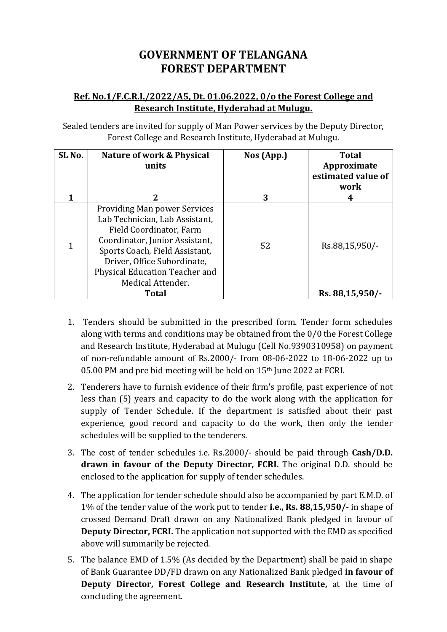# **GOVERNMENT OF TELANGANA FOREST DEPARTMENT**

# **Ref. No.1/F.C.R.I./2022/A5, Dt. 01.06.2022, 0/o the Forest College and Research Institute, Hyderabad at Mulugu.**

Sealed tenders are invited for supply of Man Power services by the Deputy Director, Forest College and Research Institute, Hyderabad at Mulugu.

| SL <sub>No.</sub> | <b>Nature of work &amp; Physical</b><br>units                                                                                                                                                                                                              | Nos (App.) | <b>Total</b><br>Approximate<br>estimated value of<br>work |
|-------------------|------------------------------------------------------------------------------------------------------------------------------------------------------------------------------------------------------------------------------------------------------------|------------|-----------------------------------------------------------|
|                   | 2                                                                                                                                                                                                                                                          | 3          | 4                                                         |
|                   | <b>Providing Man power Services</b><br>Lab Technician, Lab Assistant,<br>Field Coordinator, Farm<br>Coordinator, Junior Assistant,<br>Sports Coach, Field Assistant,<br>Driver, Office Subordinate,<br>Physical Education Teacher and<br>Medical Attender. | 52         | Rs.88,15,950/-                                            |
|                   | <b>Total</b>                                                                                                                                                                                                                                               |            | Rs. 88,15,950/-                                           |

- 1. Tenders should be submitted in the prescribed form. Tender form schedules along with terms and conditions may be obtained from the 0/0 the Forest College and Research Institute, Hyderabad at Mulugu (Cell No.9390310958) on payment of non-refundable amount of Rs.2000/- from 08-06-2022 to 18-06-2022 up to 05.00 PM and pre bid meeting will be held on 15th June 2022 at FCRI.
- 2. Tenderers have to furnish evidence of their firm's profile, past experience of not less than (5) years and capacity to do the work along with the application for supply of Tender Schedule. If the department is satisfied about their past experience, good record and capacity to do the work, then only the tender schedules will be supplied to the tenderers.
- 3. The cost of tender schedules i.e. Rs.2000/- should be paid through **Cash/D.D. drawn in favour of the Deputy Director, FCRI.** The original D.D. should be enclosed to the application for supply of tender schedules.
- 4. The application for tender schedule should also be accompanied by part E.M.D. of 1% of the tender value of the work put to tender **i.e., Rs. 88,15,950/-** in shape of crossed Demand Draft drawn on any Nationalized Bank pledged in favour of **Deputy Director, FCRI.** The application not supported with the EMD as specified above will summarily be rejected.
- 5. The balance EMD of 1.5% (As decided by the Department) shall be paid in shape of Bank Guarantee DD/FD drawn on any Nationalized Bank pledged **in favour of Deputy Director, Forest College and Research Institute,** at the time of concluding the agreement.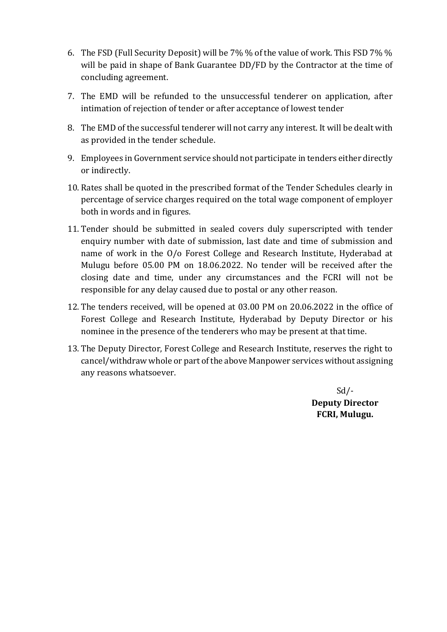- 6. The FSD (Full Security Deposit) will be 7% % of the value of work. This FSD 7% % will be paid in shape of Bank Guarantee DD/FD by the Contractor at the time of concluding agreement.
- 7. The EMD will be refunded to the unsuccessful tenderer on application, after intimation of rejection of tender or after acceptance of lowest tender
- 8. The EMD of the successful tenderer will not carry any interest. It will be dealt with as provided in the tender schedule.
- 9. Employees in Government service should not participate in tenders either directly or indirectly.
- 10. Rates shall be quoted in the prescribed format of the Tender Schedules clearly in percentage of service charges required on the total wage component of employer both in words and in figures.
- 11. Tender should be submitted in sealed covers duly superscripted with tender enquiry number with date of submission, last date and time of submission and name of work in the O/o Forest College and Research Institute, Hyderabad at Mulugu before 05.00 PM on 18.06.2022. No tender will be received after the closing date and time, under any circumstances and the FCRI will not be responsible for any delay caused due to postal or any other reason.
- 12. The tenders received, will be opened at 03.00 PM on 20.06.2022 in the office of Forest College and Research Institute, Hyderabad by Deputy Director or his nominee in the presence of the tenderers who may be present at that time.
- 13. The Deputy Director, Forest College and Research Institute, reserves the right to cancel/withdraw whole or part of the above Manpower services without assigning any reasons whatsoever.

 $Sd$  /-**Deputy Director FCRI, Mulugu.**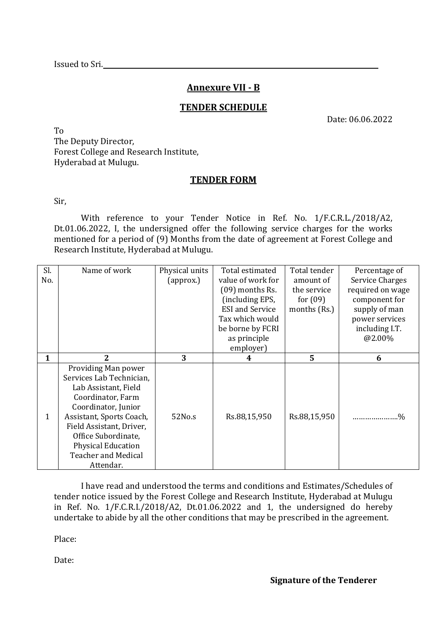# **Annexure VII - B**

### **TENDER SCHEDULE**

Date: 06.06.2022

To The Deputy Director, Forest College and Research Institute, Hyderabad at Mulugu.

### **TENDER FORM**

Sir,

With reference to your Tender Notice in Ref. No. 1/F.C.R.L./2018/A2, Dt.01.06.2022, I, the undersigned offer the following service charges for the works mentioned for a period of (9) Months from the date of agreement at Forest College and Research Institute, Hyderabad at Mulugu.

| Sl.<br>No. | Name of work                                                                                                                                                                                                                                                               | Physical units<br>(approx.) | Total estimated<br>value of work for<br>$(09)$ months Rs.<br>(including EPS,<br><b>ESI</b> and Service<br>Tax which would<br>be borne by FCRI<br>as principle<br>employer) | Total tender<br>amount of<br>the service<br>for $(09)$<br>months (Rs.) | Percentage of<br><b>Service Charges</b><br>required on wage<br>component for<br>supply of man<br>power services<br>including I.T.<br>@2.00% |
|------------|----------------------------------------------------------------------------------------------------------------------------------------------------------------------------------------------------------------------------------------------------------------------------|-----------------------------|----------------------------------------------------------------------------------------------------------------------------------------------------------------------------|------------------------------------------------------------------------|---------------------------------------------------------------------------------------------------------------------------------------------|
| 1          | $\overline{2}$                                                                                                                                                                                                                                                             | 3                           | 4                                                                                                                                                                          | $5^{\circ}$                                                            | 6                                                                                                                                           |
| 1          | Providing Man power<br>Services Lab Technician,<br>Lab Assistant, Field<br>Coordinator, Farm<br>Coordinator, Junior<br>Assistant, Sports Coach,<br>Field Assistant, Driver,<br>Office Subordinate,<br><b>Physical Education</b><br><b>Teacher and Medical</b><br>Attendar. | 52No.s                      | Rs.88,15,950                                                                                                                                                               | Rs.88,15,950                                                           | .%<br>.                                                                                                                                     |

I have read and understood the terms and conditions and Estimates/Schedules of tender notice issued by the Forest College and Research Institute, Hyderabad at Mulugu in Ref. No. 1/F.C.R.I./2018/A2, Dt.01.06.2022 and 1, the undersigned do hereby undertake to abide by all the other conditions that may be prescribed in the agreement.

Place:

Date: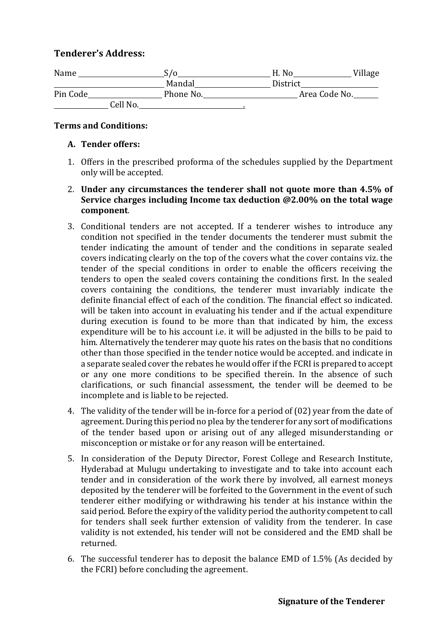# **Tenderer's Address:**

| Name     | ۲/۵       | H. No    | Village       |
|----------|-----------|----------|---------------|
|          | Mandal    | District |               |
| Pin Code | Phone No. |          | Area Code No. |
| Cell No. |           |          |               |

### **Terms and Conditions:**

#### **A. Tender offers:**

- 1. Offers in the prescribed proforma of the schedules supplied by the Department only will be accepted.
- 2. **Under any circumstances the tenderer shall not quote more than 4.5% of Service charges including Income tax deduction @2.00% on the total wage component**.
- 3. Conditional tenders are not accepted. If a tenderer wishes to introduce any condition not specified in the tender documents the tenderer must submit the tender indicating the amount of tender and the conditions in separate sealed covers indicating clearly on the top of the covers what the cover contains viz. the tender of the special conditions in order to enable the officers receiving the tenders to open the sealed covers containing the conditions first. In the sealed covers containing the conditions, the tenderer must invariably indicate the definite financial effect of each of the condition. The financial effect so indicated. will be taken into account in evaluating his tender and if the actual expenditure during execution is found to be more than that indicated by him, the excess expenditure will be to his account i.e. it will be adjusted in the bills to be paid to him. Alternatively the tenderer may quote his rates on the basis that no conditions other than those specified in the tender notice would be accepted. and indicate in a separate sealed cover the rebates he would offer if the FCRI is prepared to accept or any one more conditions to be specified therein. In the absence of such clarifications, or such financial assessment, the tender will be deemed to be incomplete and is liable to be rejected.
- 4. The validity of the tender will be in-force for a period of (02) year from the date of agreement. During this period no plea by the tenderer for any sort of modifications of the tender based upon or arising out of any alleged misunderstanding or misconception or mistake or for any reason will be entertained.
- 5. In consideration of the Deputy Director, Forest College and Research Institute, Hyderabad at Mulugu undertaking to investigate and to take into account each tender and in consideration of the work there by involved, all earnest moneys deposited by the tenderer will be forfeited to the Government in the event of such tenderer either modifying or withdrawing his tender at his instance within the said period. Before the expiry of the validity period the authority competent to call for tenders shall seek further extension of validity from the tenderer. In case validity is not extended, his tender will not be considered and the EMD shall be returned.
- 6. The successful tenderer has to deposit the balance EMD of 1.5% (As decided by the FCRI) before concluding the agreement.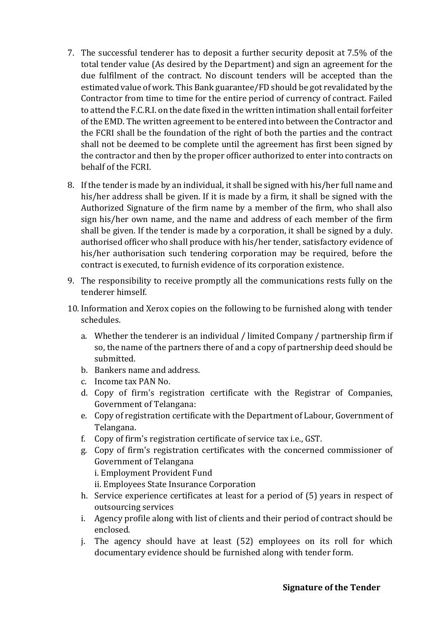- 7. The successful tenderer has to deposit a further security deposit at 7.5% of the total tender value (As desired by the Department) and sign an agreement for the due fulfilment of the contract. No discount tenders will be accepted than the estimated value of work. This Bank guarantee/FD should be got revalidated by the Contractor from time to time for the entire period of currency of contract. Failed to attend the F.C.R.I. on the date fixed in the written intimation shall entail forfeiter of the EMD. The written agreement to be entered into between the Contractor and the FCRI shall be the foundation of the right of both the parties and the contract shall not be deemed to be complete until the agreement has first been signed by the contractor and then by the proper officer authorized to enter into contracts on behalf of the FCRI.
- 8. If the tender is made by an individual, it shall be signed with his/her full name and his/her address shall be given. If it is made by a firm, it shall be signed with the Authorized Signature of the firm name by a member of the firm, who shall also sign his/her own name, and the name and address of each member of the firm shall be given. If the tender is made by a corporation, it shall be signed by a duly. authorised officer who shall produce with his/her tender, satisfactory evidence of his/her authorisation such tendering corporation may be required, before the contract is executed, to furnish evidence of its corporation existence.
- 9. The responsibility to receive promptly all the communications rests fully on the tenderer himself.
- 10. Information and Xerox copies on the following to be furnished along with tender schedules.
	- a. Whether the tenderer is an individual / limited Company / partnership firm if so, the name of the partners there of and a copy of partnership deed should be submitted.
	- b. Bankers name and address.
	- c. Income tax PAN No.
	- d. Copy of firm's registration certificate with the Registrar of Companies, Government of Telangana:
	- e. Copy of registration certificate with the Department of Labour, Government of Telangana.
	- f. Copy of firm's registration certificate of service tax i.e., GST.
	- g. Copy of firm's registration certificates with the concerned commissioner of Government of Telangana i. Employment Provident Fund ii. Employees State Insurance Corporation
	- h. Service experience certificates at least for a period of (5) years in respect of outsourcing services
	- i. Agency profile along with list of clients and their period of contract should be enclosed.
	- j. The agency should have at least (52) employees on its roll for which documentary evidence should be furnished along with tender form.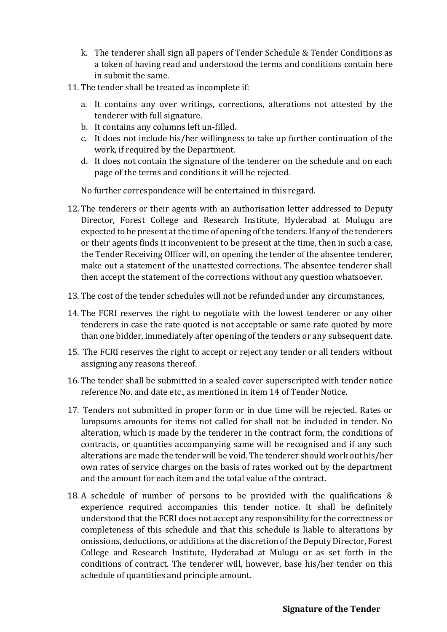- k. The tenderer shall sign all papers of Tender Schedule & Tender Conditions as a token of having read and understood the terms and conditions contain here in submit the same.
- 11. The tender shall be treated as incomplete if:
	- a. It contains any over writings, corrections, alterations not attested by the tenderer with full signature.
	- b. It contains any columns left un-filled.
	- c. It does not include his/her willingness to take up further continuation of the work, if required by the Department.
	- d. It does not contain the signature of the tenderer on the schedule and on each page of the terms and conditions it will be rejected.

No further correspondence will be entertained in this regard.

- 12. The tenderers or their agents with an authorisation letter addressed to Deputy Director, Forest College and Research Institute, Hyderabad at Mulugu are expected to be present at the time of opening of the tenders. If any of the tenderers or their agents finds it inconvenient to be present at the time, then in such a case, the Tender Receiving Officer will, on opening the tender of the absentee tenderer, make out a statement of the unattested corrections. The absentee tenderer shall then accept the statement of the corrections without any question whatsoever.
- 13. The cost of the tender schedules will not be refunded under any circumstances,
- 14. The FCRI reserves the right to negotiate with the lowest tenderer or any other tenderers in case the rate quoted is not acceptable or same rate quoted by more than one bidder, immediately after opening of the tenders or any subsequent date.
- 15. The FCRI reserves the right to accept or reject any tender or all tenders without assigning any reasons thereof.
- 16. The tender shall be submitted in a sealed cover superscripted with tender notice reference No. and date etc., as mentioned in item 14 of Tender Notice.
- 17. Tenders not submitted in proper form or in due time will be rejected. Rates or lumpsums amounts for items not called for shall not be included in tender. No alteration, which is made by the tenderer in the contract form, the conditions of contracts, or quantities accompanying same will be recognised and if any such alterations are made the tender will be void. The tenderer should work out his/her own rates of service charges on the basis of rates worked out by the department and the amount for each item and the total value of the contract.
- 18. A schedule of number of persons to be provided with the qualifications & experience required accompanies this tender notice. It shall be definitely understood that the FCRI does not accept any responsibility for the correctness or completeness of this schedule and that this schedule is liable to alterations by omissions, deductions, or additions at the discretion of the Deputy Director, Forest College and Research Institute, Hyderabad at Mulugu or as set forth in the conditions of contract. The tenderer will, however, base his/her tender on this schedule of quantities and principle amount.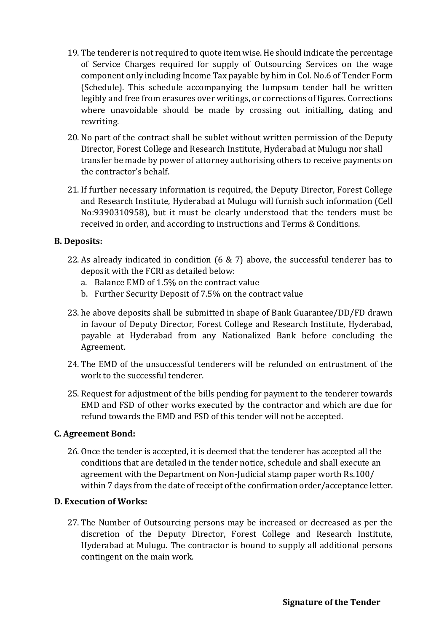- 19. The tenderer is not required to quote item wise. He should indicate the percentage of Service Charges required for supply of Outsourcing Services on the wage component only including Income Tax payable by him in Col. No.6 of Tender Form (Schedule). This schedule accompanying the lumpsum tender hall be written legibly and free from erasures over writings, or corrections of figures. Corrections where unavoidable should be made by crossing out initialling, dating and rewriting.
- 20. No part of the contract shall be sublet without written permission of the Deputy Director, Forest College and Research Institute, Hyderabad at Mulugu nor shall transfer be made by power of attorney authorising others to receive payments on the contractor's behalf.
- 21. If further necessary information is required, the Deputy Director, Forest College and Research Institute, Hyderabad at Mulugu will furnish such information (Cell No:9390310958), but it must be clearly understood that the tenders must be received in order, and according to instructions and Terms & Conditions.

# **B. Deposits:**

- 22. As already indicated in condition (6 & 7) above, the successful tenderer has to deposit with the FCRI as detailed below:
	- a. Balance EMD of 1.5% on the contract value
	- b. Further Security Deposit of 7.5% on the contract value
- 23. he above deposits shall be submitted in shape of Bank Guarantee/DD/FD drawn in favour of Deputy Director, Forest College and Research Institute, Hyderabad, payable at Hyderabad from any Nationalized Bank before concluding the Agreement.
- 24. The EMD of the unsuccessful tenderers will be refunded on entrustment of the work to the successful tenderer.
- 25. Request for adjustment of the bills pending for payment to the tenderer towards EMD and FSD of other works executed by the contractor and which are due for refund towards the EMD and FSD of this tender will not be accepted.

# **C. Agreement Bond:**

26. Once the tender is accepted, it is deemed that the tenderer has accepted all the conditions that are detailed in the tender notice, schedule and shall execute an agreement with the Department on Non-Judicial stamp paper worth Rs.100/ within 7 days from the date of receipt of the confirmation order/acceptance letter.

### **D. Execution of Works:**

27. The Number of Outsourcing persons may be increased or decreased as per the discretion of the Deputy Director, Forest College and Research Institute, Hyderabad at Mulugu. The contractor is bound to supply all additional persons contingent on the main work.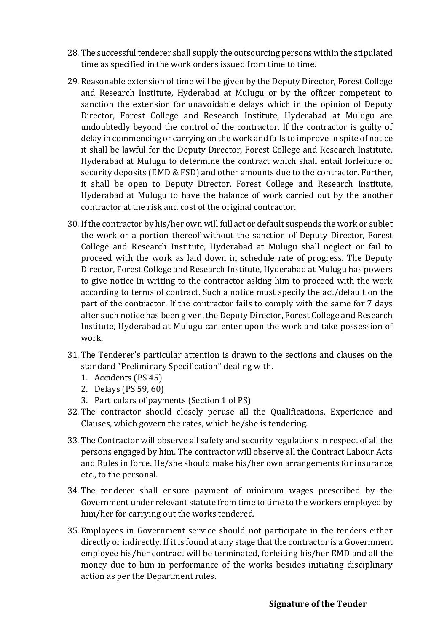- 28. The successful tenderer shall supply the outsourcing persons within the stipulated time as specified in the work orders issued from time to time.
- 29. Reasonable extension of time will be given by the Deputy Director, Forest College and Research Institute, Hyderabad at Mulugu or by the officer competent to sanction the extension for unavoidable delays which in the opinion of Deputy Director, Forest College and Research Institute, Hyderabad at Mulugu are undoubtedly beyond the control of the contractor. If the contractor is guilty of delay in commencing or carrying on the work and fails to improve in spite of notice it shall be lawful for the Deputy Director, Forest College and Research Institute, Hyderabad at Mulugu to determine the contract which shall entail forfeiture of security deposits (EMD & FSD) and other amounts due to the contractor. Further, it shall be open to Deputy Director, Forest College and Research Institute, Hyderabad at Mulugu to have the balance of work carried out by the another contractor at the risk and cost of the original contractor.
- 30. If the contractor by his/her own will full act or default suspends the work or sublet the work or a portion thereof without the sanction of Deputy Director, Forest College and Research Institute, Hyderabad at Mulugu shall neglect or fail to proceed with the work as laid down in schedule rate of progress. The Deputy Director, Forest College and Research Institute, Hyderabad at Mulugu has powers to give notice in writing to the contractor asking him to proceed with the work according to terms of contract. Such a notice must specify the act/default on the part of the contractor. If the contractor fails to comply with the same for 7 days after such notice has been given, the Deputy Director, Forest College and Research Institute, Hyderabad at Mulugu can enter upon the work and take possession of work.
- 31. The Tenderer's particular attention is drawn to the sections and clauses on the standard "Preliminary Specification" dealing with.
	- 1. Accidents (PS 45)
	- 2. Delays (PS 59, 60)
	- 3. Particulars of payments (Section 1 of PS)
- 32. The contractor should closely peruse all the Qualifications, Experience and Clauses, which govern the rates, which he/she is tendering.
- 33. The Contractor will observe all safety and security regulations in respect of all the persons engaged by him. The contractor will observe all the Contract Labour Acts and Rules in force. He/she should make his/her own arrangements for insurance etc., to the personal.
- 34. The tenderer shall ensure payment of minimum wages prescribed by the Government under relevant statute from time to time to the workers employed by him/her for carrying out the works tendered.
- 35. Employees in Government service should not participate in the tenders either directly or indirectly. If it is found at any stage that the contractor is a Government employee his/her contract will be terminated, forfeiting his/her EMD and all the money due to him in performance of the works besides initiating disciplinary action as per the Department rules.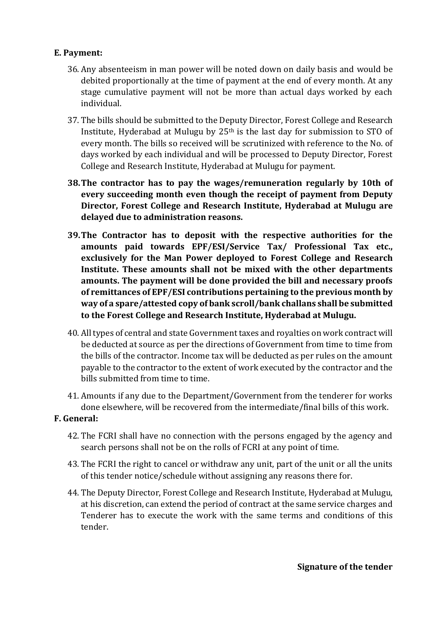# **E. Payment:**

- 36. Any absenteeism in man power will be noted down on daily basis and would be debited proportionally at the time of payment at the end of every month. At any stage cumulative payment will not be more than actual days worked by each individual.
- 37. The bills should be submitted to the Deputy Director, Forest College and Research Institute, Hyderabad at Mulugu by 25th is the last day for submission to STO of every month. The bills so received will be scrutinized with reference to the No. of days worked by each individual and will be processed to Deputy Director, Forest College and Research Institute, Hyderabad at Mulugu for payment.
- **38.The contractor has to pay the wages/remuneration regularly by 10th of every succeeding month even though the receipt of payment from Deputy Director, Forest College and Research Institute, Hyderabad at Mulugu are delayed due to administration reasons.**
- **39.The Contractor has to deposit with the respective authorities for the amounts paid towards EPF/ESI/Service Tax/ Professional Tax etc., exclusively for the Man Power deployed to Forest College and Research Institute. These amounts shall not be mixed with the other departments amounts. The payment will be done provided the bill and necessary proofs of remittances of EPF/ESI contributions pertaining to the previous month by way of a spare/attested copy of bank scroll/bank challans shall be submitted to the Forest College and Research Institute, Hyderabad at Mulugu.**
- 40. All types of central and state Government taxes and royalties on work contract will be deducted at source as per the directions of Government from time to time from the bills of the contractor. Income tax will be deducted as per rules on the amount payable to the contractor to the extent of work executed by the contractor and the bills submitted from time to time.
- 41. Amounts if any due to the Department/Government from the tenderer for works done elsewhere, will be recovered from the intermediate/final bills of this work.

# **F. General:**

- 42. The FCRI shall have no connection with the persons engaged by the agency and search persons shall not be on the rolls of FCRI at any point of time.
- 43. The FCRI the right to cancel or withdraw any unit, part of the unit or all the units of this tender notice/schedule without assigning any reasons there for.
- 44. The Deputy Director, Forest College and Research Institute, Hyderabad at Mulugu, at his discretion, can extend the period of contract at the same service charges and Tenderer has to execute the work with the same terms and conditions of this tender.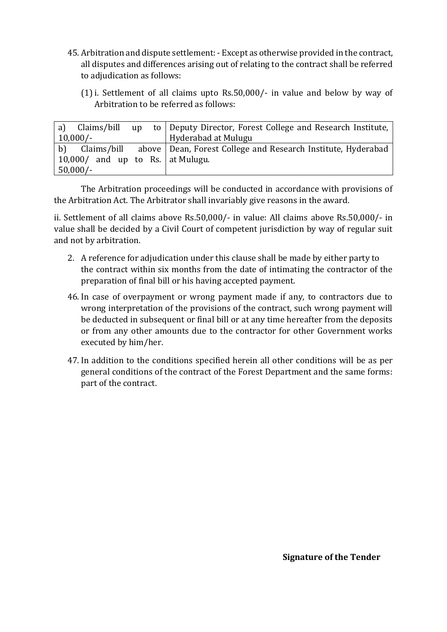- 45. Arbitration and dispute settlement: Except as otherwise provided in the contract, all disputes and differences arising out of relating to the contract shall be referred to adjudication as follows:
	- (1)i. Settlement of all claims upto Rs.50,000/- in value and below by way of Arbitration to be referred as follows:

| Claims/bill<br>a)<br>$\mathbf{u} \mathbf{p}$ | to   Deputy Director, Forest College and Research Institute,             |
|----------------------------------------------|--------------------------------------------------------------------------|
| $10,000/-$                                   | Hyderabad at Mulugu                                                      |
| b)                                           | Claims/bill above Dean, Forest College and Research Institute, Hyderabad |
| 10,000/ and up to Rs.   at Mulugu.           |                                                                          |
| $50,000/-$                                   |                                                                          |

The Arbitration proceedings will be conducted in accordance with provisions of the Arbitration Act. The Arbitrator shall invariably give reasons in the award.

ii. Settlement of all claims above Rs.50,000/- in value: All claims above Rs.50,000/- in value shall be decided by a Civil Court of competent jurisdiction by way of regular suit and not by arbitration.

- 2. A reference for adjudication under this clause shall be made by either party to the contract within six months from the date of intimating the contractor of the preparation of final bill or his having accepted payment.
- 46. In case of overpayment or wrong payment made if any, to contractors due to wrong interpretation of the provisions of the contract, such wrong payment will be deducted in subsequent or final bill or at any time hereafter from the deposits or from any other amounts due to the contractor for other Government works executed by him/her.
- 47. In addition to the conditions specified herein all other conditions will be as per general conditions of the contract of the Forest Department and the same forms: part of the contract.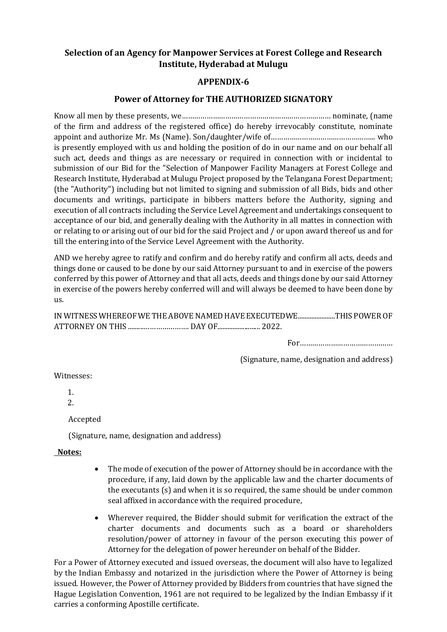# **Selection of an Agency for Manpower Services at Forest College and Research Institute, Hyderabad at Mulugu**

### **APPENDIX-6**

### **Power of Attorney for THE AUTHORIZED SIGNATORY**

Know all men by these presents, we……………………………………………………………… nominate, (name of the firm and address of the registered office) do hereby irrevocably constitute, nominate appoint and authorize Mr. Ms (Name). Son/daughter/wife of…………………………………………... who is presently employed with us and holding the position of do in our name and on our behalf all such act, deeds and things as are necessary or required in connection with or incidental to submission of our Bid for the "Selection of Manpower Facility Managers at Forest College and Research Institute, Hyderabad at Mulugu Project proposed by the Telangana Forest Department; (the "Authority") including but not limited to signing and submission of all Bids, bids and other documents and writings, participate in bibbers matters before the Authority, signing and execution of all contracts including the Service Level Agreement and undertakings consequent to acceptance of our bid, and generally dealing with the Authority in all mattes in connection with or relating to or arising out of our bid for the said Project and / or upon award thereof us and for till the entering into of the Service Level Agreement with the Authority.

AND we hereby agree to ratify and confirm and do hereby ratify and confirm all acts, deeds and things done or caused to be done by our said Attorney pursuant to and in exercise of the powers conferred by this power of Attorney and that all acts, deeds and things done by our said Attorney in exercise of the powers hereby conferred will and will always be deemed to have been done by us.

IN WITNESS WHEREOF WE THE ABOVE NAMED HAVE EXECUTEDWE......................THIS POWER OF ATTORNEY ON THIS .........…………………. DAY OF......................... 2022.

For………………………………………

(Signature, name, designation and address)

Witnesses:

1.

2.

Accepted

(Signature, name, designation and address)

### **Notes:**

- The mode of execution of the power of Attorney should be in accordance with the procedure, if any, laid down by the applicable law and the charter documents of the executants (s) and when it is so required, the same should be under common seal affixed in accordance with the required procedure,
- Wherever required, the Bidder should submit for verification the extract of the charter documents and documents such as a board or shareholders resolution/power of attorney in favour of the person executing this power of Attorney for the delegation of power hereunder on behalf of the Bidder.

For a Power of Attorney executed and issued overseas, the document will also have to legalized by the Indian Embassy and notarized in the jurisdiction where the Power of Attorney is being issued. However, the Power of Attorney provided by Bidders from countries that have signed the Hague Legislation Convention, 1961 are not required to be legalized by the Indian Embassy if it carries a conforming Apostille certificate.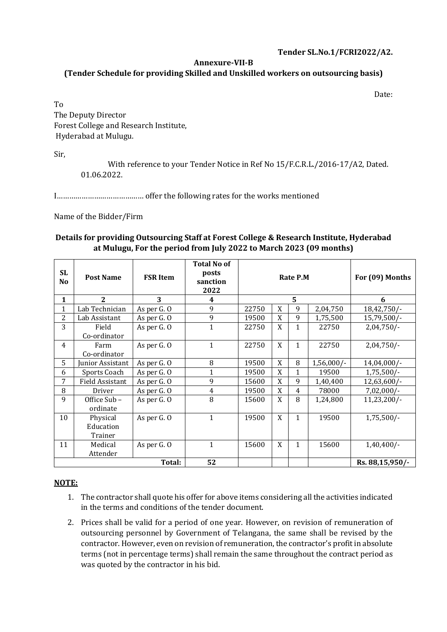#### **Tender SL.No.1/FCRI2022/A2.**

#### **Annexure-VII-B**

#### **(Tender Schedule for providing Skilled and Unskilled workers on outsourcing basis)**

Date:

To The Deputy Director Forest College and Research Institute, Hyderabad at Mulugu.

Sir,

With reference to your Tender Notice in Ref No 15/F.C.R.L./2016-17/A2, Dated. 01.06.2022.

I…………………………………… offer the following rates for the works mentioned

#### Name of the Bidder/Firm

#### **Details for providing Outsourcing Staff at Forest College & Research Institute, Hyderabad at Mulugu, For the period from July 2022 to March 2023 (09 months)**

| SL<br>N <sub>o</sub> | <b>Post Name</b>                 | <b>FSR Item</b> | <b>Total No of</b><br>posts<br>sanction<br>2022 |       |   | Rate P.M     |              | For (09) Months |
|----------------------|----------------------------------|-----------------|-------------------------------------------------|-------|---|--------------|--------------|-----------------|
| 1                    | $\overline{2}$                   | 3               | 4                                               |       |   | 5            |              | 6               |
| 1                    | Lab Technician                   | As per G. O     | 9                                               | 22750 | X | 9            | 2,04,750     | 18,42,750/-     |
| 2                    | Lab Assistant                    | As per G. O     | 9                                               | 19500 | X | 9            | 1,75,500     | 15,79,500/-     |
| 3                    | Field<br>Co-ordinator            | As per G. O     | $\mathbf{1}$                                    | 22750 | X | 1            | 22750        | $2,04,750/-$    |
| $\overline{4}$       | Farm<br>Co-ordinator             | As per G. O     | $\mathbf{1}$                                    | 22750 | X | $\mathbf{1}$ | 22750        | $2,04,750/-$    |
| 5                    | Iunior Assistant                 | As per G. O     | 8                                               | 19500 | X | 8            | $1,56,000/-$ | $14,04,000/-$   |
| 6                    | Sports Coach                     | As per G. O     | $\mathbf{1}$                                    | 19500 | X | $\mathbf{1}$ | 19500        | $1,75,500/-$    |
| 7                    | <b>Field Assistant</b>           | As per G. O     | 9                                               | 15600 | X | 9            | 1,40,400     | $12,63,600/-$   |
| 8                    | Driver                           | As per G. O     | $\overline{4}$                                  | 19500 | X | 4            | 78000        | $7,02,000/-$    |
| 9                    | Office Sub-<br>ordinate          | As per G. O     | 8                                               | 15600 | X | 8            | 1,24,800     | 11,23,200/-     |
| 10                   | Physical<br>Education<br>Trainer | As per G. O     | $\mathbf{1}$                                    | 19500 | X | $\mathbf{1}$ | 19500        | $1,75,500/-$    |
| 11                   | Medical<br>Attender              | As per G. O     | $\mathbf{1}$                                    | 15600 | X | $\mathbf{1}$ | 15600        | $1,40,400/-$    |
| Total:               |                                  |                 | 52                                              |       |   |              |              | Rs. 88,15,950/- |

#### **NOTE:**

- 1. The contractor shall quote his offer for above items considering all the activities indicated in the terms and conditions of the tender document.
- 2. Prices shall be valid for a period of one year. However, on revision of remuneration of outsourcing personnel by Government of Telangana, the same shall be revised by the contractor. However, even on revision of remuneration, the contractor's profit in absolute terms (not in percentage terms) shall remain the same throughout the contract period as was quoted by the contractor in his bid.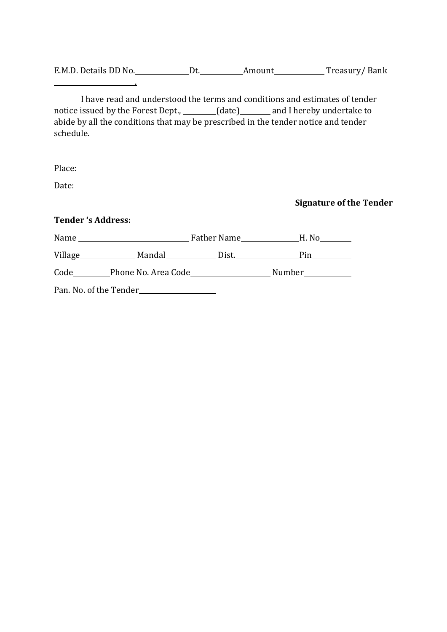E.M.D. Details DD No. Dt. Amount Treasury/ Bank

I have read and understood the terms and conditions and estimates of tender notice issued by the Forest Dept., \_\_\_\_\_\_(date) \_\_\_\_\_\_ and I hereby undertake to abide by all the conditions that may be prescribed in the tender notice and tender schedule.

Place:

Date:

**Signature of the Tender**

**Tender 's Address:**

Pan. No. of the Tender

.

| Name    |                     | Father Name | H. No  |
|---------|---------------------|-------------|--------|
| Village | Mandal              | Dist.       | Pin    |
| Code    | Phone No. Area Code |             | Number |